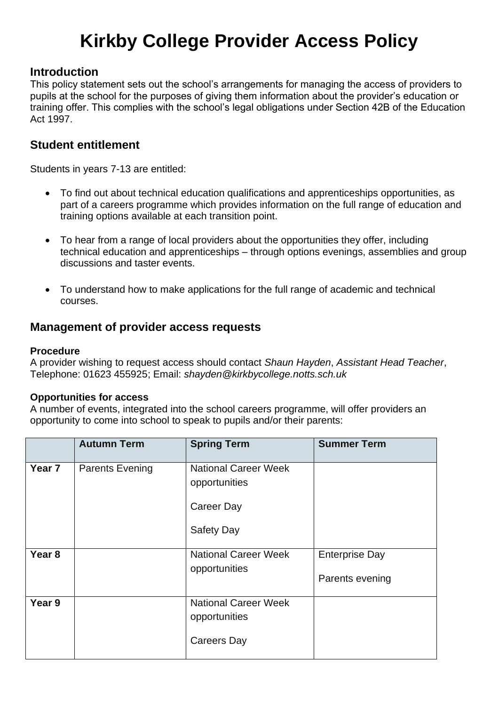# **Kirkby College Provider Access Policy**

## **Introduction**

This policy statement sets out the school's arrangements for managing the access of providers to pupils at the school for the purposes of giving them information about the provider's education or training offer. This complies with the school's legal obligations under Section 42B of the Education Act 1997.

## **Student entitlement**

Students in years 7-13 are entitled:

- To find out about technical education qualifications and apprenticeships opportunities, as part of a careers programme which provides information on the full range of education and training options available at each transition point.
- To hear from a range of local providers about the opportunities they offer, including technical education and apprenticeships – through options evenings, assemblies and group discussions and taster events.
- To understand how to make applications for the full range of academic and technical courses.

## **Management of provider access requests**

#### **Procedure**

A provider wishing to request access should contact *Shaun Hayden*, *Assistant Head Teacher*, Telephone: 01623 455925; Email: *shayden@kirkbycollege.notts.sch.uk*

#### **Opportunities for access**

A number of events, integrated into the school careers programme, will offer providers an opportunity to come into school to speak to pupils and/or their parents:

|                   | <b>Autumn Term</b>     | <b>Spring Term</b>                                                              | <b>Summer Term</b>                       |
|-------------------|------------------------|---------------------------------------------------------------------------------|------------------------------------------|
| Year <sub>7</sub> | <b>Parents Evening</b> | <b>National Career Week</b><br>opportunities<br>Career Day<br><b>Safety Day</b> |                                          |
| Year <sub>8</sub> |                        | <b>National Career Week</b><br>opportunities                                    | <b>Enterprise Day</b><br>Parents evening |
| Year 9            |                        | <b>National Career Week</b><br>opportunities<br><b>Careers Day</b>              |                                          |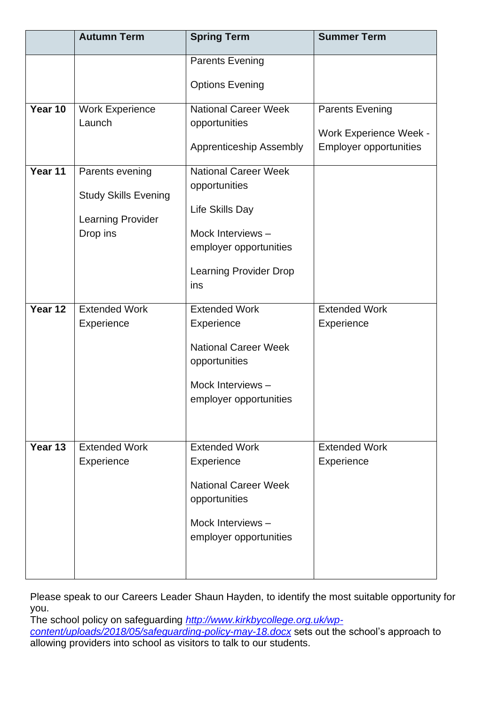|         | <b>Autumn Term</b>                                                              | <b>Spring Term</b>                                                                                                                                    | <b>Summer Term</b>                                                                       |
|---------|---------------------------------------------------------------------------------|-------------------------------------------------------------------------------------------------------------------------------------------------------|------------------------------------------------------------------------------------------|
|         |                                                                                 | <b>Parents Evening</b>                                                                                                                                |                                                                                          |
|         |                                                                                 | <b>Options Evening</b>                                                                                                                                |                                                                                          |
| Year 10 | <b>Work Experience</b><br>Launch                                                | <b>National Career Week</b><br>opportunities<br>Apprenticeship Assembly                                                                               | <b>Parents Evening</b><br><b>Work Experience Week -</b><br><b>Employer opportunities</b> |
| Year 11 | Parents evening<br><b>Study Skills Evening</b><br>Learning Provider<br>Drop ins | <b>National Career Week</b><br>opportunities<br>Life Skills Day<br>Mock Interviews-<br>employer opportunities<br><b>Learning Provider Drop</b><br>ins |                                                                                          |
| Year 12 | <b>Extended Work</b><br>Experience                                              | <b>Extended Work</b><br>Experience<br><b>National Career Week</b><br>opportunities<br>Mock Interviews-<br>employer opportunities                      | <b>Extended Work</b><br>Experience                                                       |
| Year 13 | <b>Extended Work</b><br>Experience                                              | <b>Extended Work</b><br>Experience<br><b>National Career Week</b><br>opportunities<br>Mock Interviews-<br>employer opportunities                      | <b>Extended Work</b><br>Experience                                                       |

Please speak to our Careers Leader Shaun Hayden, to identify the most suitable opportunity for you.

The school policy on safeguarding *[http://www.kirkbycollege.org.uk/wp](http://www.kirkbycollege.org.uk/wp-content/uploads/2018/05/safeguarding-policy-may-18.docx)[content/uploads/2018/05/safeguarding-policy-may-18.docx](http://www.kirkbycollege.org.uk/wp-content/uploads/2018/05/safeguarding-policy-may-18.docx)* sets out the school's approach to allowing providers into school as visitors to talk to our students.